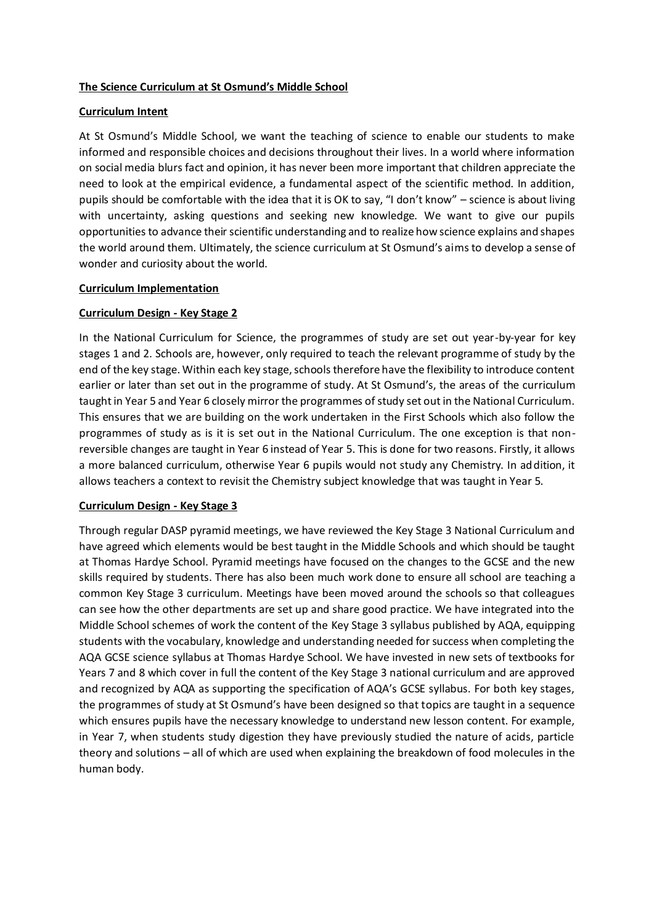## **The Science Curriculum at St Osmund's Middle School**

### **Curriculum Intent**

At St Osmund's Middle School, we want the teaching of science to enable our students to make informed and responsible choices and decisions throughout their lives. In a world where information on social media blurs fact and opinion, it has never been more important that children appreciate the need to look at the empirical evidence, a fundamental aspect of the scientific method. In addition, pupils should be comfortable with the idea that it is OK to say, "I don't know" – science is about living with uncertainty, asking questions and seeking new knowledge. We want to give our pupils opportunities to advance their scientific understanding and to realize how science explains and shapes the world around them. Ultimately, the science curriculum at St Osmund's aims to develop a sense of wonder and curiosity about the world.

### **Curriculum Implementation**

## **Curriculum Design - Key Stage 2**

In the National Curriculum for Science, the programmes of study are set out year-by-year for key stages 1 and 2. Schools are, however, only required to teach the relevant programme of study by the end of the key stage. Within each key stage, schools therefore have the flexibility to introduce content earlier or later than set out in the programme of study. At St Osmund's, the areas of the curriculum taught in Year 5 and Year 6 closely mirror the programmes of study set out in the National Curriculum. This ensures that we are building on the work undertaken in the First Schools which also follow the programmes of study as is it is set out in the National Curriculum. The one exception is that nonreversible changes are taught in Year 6 instead of Year 5. This is done for two reasons. Firstly, it allows a more balanced curriculum, otherwise Year 6 pupils would not study any Chemistry. In addition, it allows teachers a context to revisit the Chemistry subject knowledge that was taught in Year 5.

### **Curriculum Design - Key Stage 3**

Through regular DASP pyramid meetings, we have reviewed the Key Stage 3 National Curriculum and have agreed which elements would be best taught in the Middle Schools and which should be taught at Thomas Hardye School. Pyramid meetings have focused on the changes to the GCSE and the new skills required by students. There has also been much work done to ensure all school are teaching a common Key Stage 3 curriculum. Meetings have been moved around the schools so that colleagues can see how the other departments are set up and share good practice. We have integrated into the Middle School schemes of work the content of the Key Stage 3 syllabus published by AQA, equipping students with the vocabulary, knowledge and understanding needed for success when completing the AQA GCSE science syllabus at Thomas Hardye School. We have invested in new sets of textbooks for Years 7 and 8 which cover in full the content of the Key Stage 3 national curriculum and are approved and recognized by AQA as supporting the specification of AQA's GCSE syllabus. For both key stages, the programmes of study at St Osmund's have been designed so that topics are taught in a sequence which ensures pupils have the necessary knowledge to understand new lesson content. For example, in Year 7, when students study digestion they have previously studied the nature of acids, particle theory and solutions – all of which are used when explaining the breakdown of food molecules in the human body.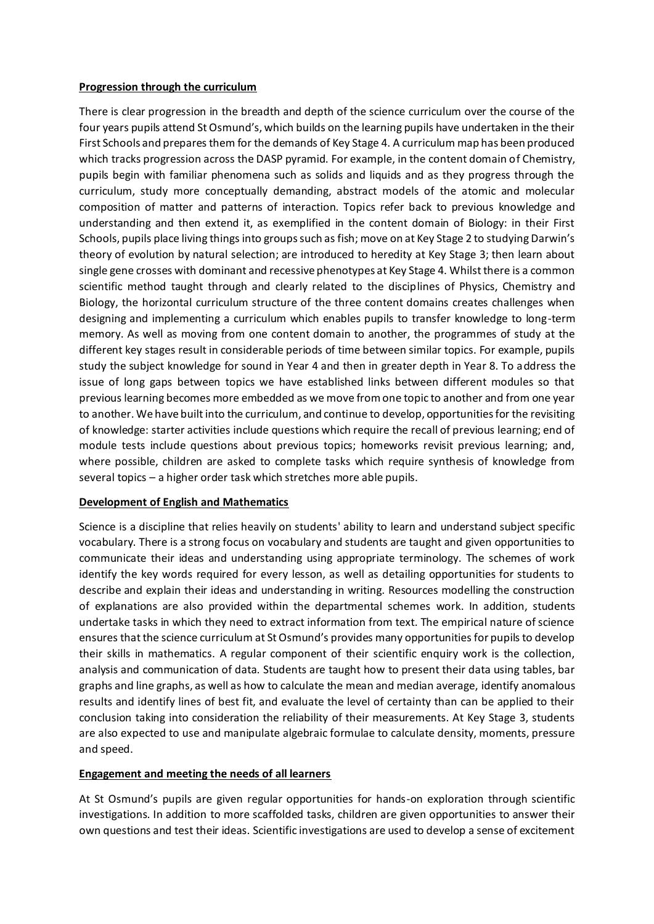### **Progression through the curriculum**

There is clear progression in the breadth and depth of the science curriculum over the course of the four years pupils attend St Osmund's, which builds on the learning pupils have undertaken in the their First Schools and prepares them for the demands of Key Stage 4. A curriculum map has been produced which tracks progression across the DASP pyramid. For example, in the content domain of Chemistry, pupils begin with familiar phenomena such as solids and liquids and as they progress through the curriculum, study more conceptually demanding, abstract models of the atomic and molecular composition of matter and patterns of interaction. Topics refer back to previous knowledge and understanding and then extend it, as exemplified in the content domain of Biology: in their First Schools, pupils place living things into groups such as fish; move on at Key Stage 2 to studying Darwin's theory of evolution by natural selection; are introduced to heredity at Key Stage 3; then learn about single gene crosses with dominant and recessive phenotypes at Key Stage 4. Whilst there is a common scientific method taught through and clearly related to the disciplines of Physics, Chemistry and Biology, the horizontal curriculum structure of the three content domains creates challenges when designing and implementing a curriculum which enables pupils to transfer knowledge to long-term memory. As well as moving from one content domain to another, the programmes of study at the different key stages result in considerable periods of time between similar topics. For example, pupils study the subject knowledge for sound in Year 4 and then in greater depth in Year 8. To address the issue of long gaps between topics we have established links between different modules so that previous learning becomes more embedded as we move from one topic to another and from one year to another. We have built into the curriculum, and continue to develop, opportunities for the revisiting of knowledge: starter activities include questions which require the recall of previous learning; end of module tests include questions about previous topics; homeworks revisit previous learning; and, where possible, children are asked to complete tasks which require synthesis of knowledge from several topics – a higher order task which stretches more able pupils.

# **Development of English and Mathematics**

Science is a discipline that relies heavily on students' ability to learn and understand subject specific vocabulary. There is a strong focus on vocabulary and students are taught and given opportunities to communicate their ideas and understanding using appropriate terminology. The schemes of work identify the key words required for every lesson, as well as detailing opportunities for students to describe and explain their ideas and understanding in writing. Resources modelling the construction of explanations are also provided within the departmental schemes work. In addition, students undertake tasks in which they need to extract information from text. The empirical nature of science ensures that the science curriculum at St Osmund's provides many opportunities for pupils to develop their skills in mathematics. A regular component of their scientific enquiry work is the collection, analysis and communication of data. Students are taught how to present their data using tables, bar graphs and line graphs, as well as how to calculate the mean and median average, identify anomalous results and identify lines of best fit, and evaluate the level of certainty than can be applied to their conclusion taking into consideration the reliability of their measurements. At Key Stage 3, students are also expected to use and manipulate algebraic formulae to calculate density, moments, pressure and speed.

### **Engagement and meeting the needs of all learners**

At St Osmund's pupils are given regular opportunities for hands-on exploration through scientific investigations. In addition to more scaffolded tasks, children are given opportunities to answer their own questions and test their ideas. Scientific investigations are used to develop a sense of excitement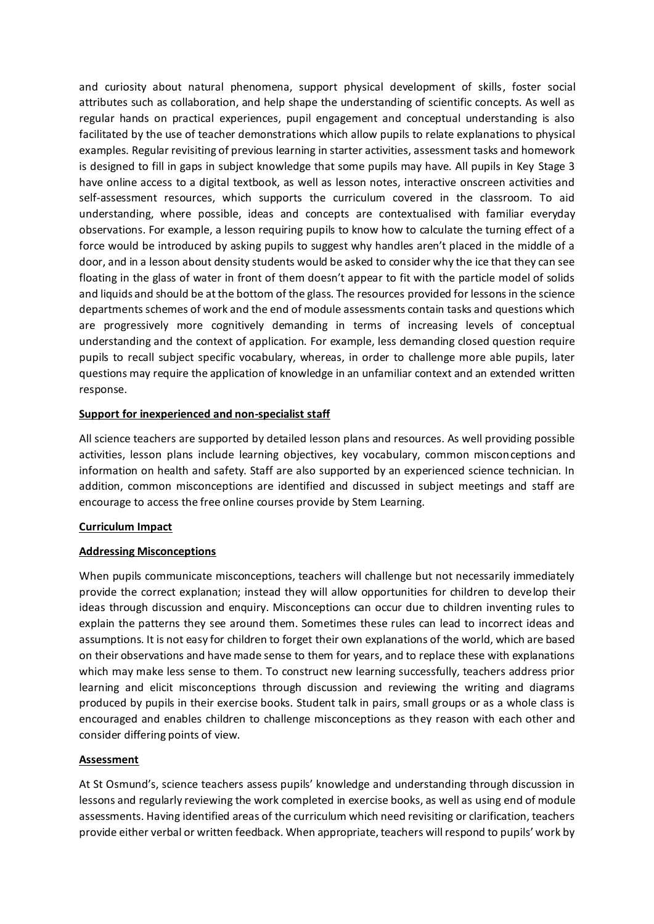and curiosity about natural phenomena, support physical development of skills, foster social attributes such as collaboration, and help shape the understanding of scientific concepts. As well as regular hands on practical experiences, pupil engagement and conceptual understanding is also facilitated by the use of teacher demonstrations which allow pupils to relate explanations to physical examples. Regular revisiting of previous learning in starter activities, assessment tasks and homework is designed to fill in gaps in subject knowledge that some pupils may have. All pupils in Key Stage 3 have online access to a digital textbook, as well as lesson notes, interactive onscreen activities and self-assessment resources, which supports the curriculum covered in the classroom. To aid understanding, where possible, ideas and concepts are contextualised with familiar everyday observations. For example, a lesson requiring pupils to know how to calculate the turning effect of a force would be introduced by asking pupils to suggest why handles aren't placed in the middle of a door, and in a lesson about density students would be asked to consider why the ice that they can see floating in the glass of water in front of them doesn't appear to fit with the particle model of solids and liquids and should be at the bottom of the glass. The resources provided for lessons in the science departments schemes of work and the end of module assessments contain tasks and questions which are progressively more cognitively demanding in terms of increasing levels of conceptual understanding and the context of application. For example, less demanding closed question require pupils to recall subject specific vocabulary, whereas, in order to challenge more able pupils, later questions may require the application of knowledge in an unfamiliar context and an extended written response.

### **Support for inexperienced and non-specialist staff**

All science teachers are supported by detailed lesson plans and resources. As well providing possible activities, lesson plans include learning objectives, key vocabulary, common misconceptions and information on health and safety. Staff are also supported by an experienced science technician. In addition, common misconceptions are identified and discussed in subject meetings and staff are encourage to access the free online courses provide by Stem Learning.

### **Curriculum Impact**

### **Addressing Misconceptions**

When pupils communicate misconceptions, teachers will challenge but not necessarily immediately provide the correct explanation; instead they will allow opportunities for children to develop their ideas through discussion and enquiry. Misconceptions can occur due to children inventing rules to explain the patterns they see around them. Sometimes these rules can lead to incorrect ideas and assumptions. It is not easy for children to forget their own explanations of the world, which are based on their observations and have made sense to them for years, and to replace these with explanations which may make less sense to them. To construct new learning successfully, teachers address prior learning and elicit misconceptions through discussion and reviewing the writing and diagrams produced by pupils in their exercise books. Student talk in pairs, small groups or as a whole class is encouraged and enables children to challenge misconceptions as they reason with each other and consider differing points of view.

# **Assessment**

At St Osmund's, science teachers assess pupils' knowledge and understanding through discussion in lessons and regularly reviewing the work completed in exercise books, as well as using end of module assessments. Having identified areas of the curriculum which need revisiting or clarification, teachers provide either verbal or written feedback. When appropriate, teachers will respond to pupils' work by